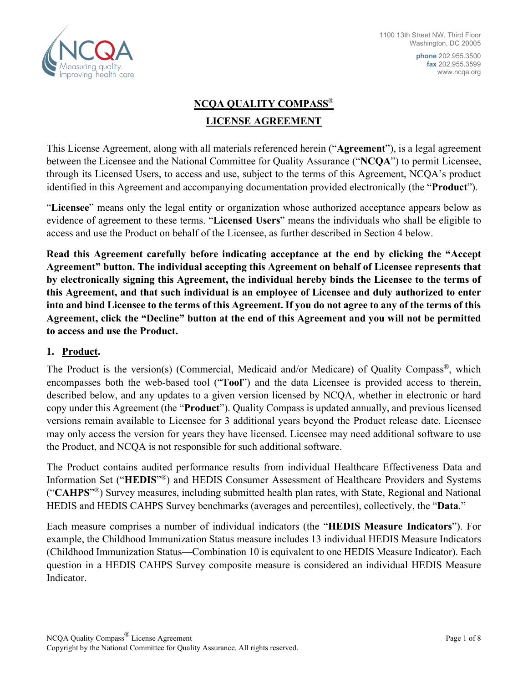

**phone** 202.955.3500 **fax** 202.955.3599 www.ncqa.org

# **NCQA QUALITY COMPASS**® **LICENSE AGREEMENT**

This License Agreement, along with all materials referenced herein ("**Agreement**"), is a legal agreement between the Licensee and the National Committee for Quality Assurance ("**NCQA**") to permit Licensee, through its Licensed Users, to access and use, subject to the terms of this Agreement, NCQA's product identified in this Agreement and accompanying documentation provided electronically (the "**Product**").

"**Licensee**" means only the legal entity or organization whose authorized acceptance appears below as evidence of agreement to these terms. "**Licensed Users**" means the individuals who shall be eligible to access and use the Product on behalf of the Licensee, as further described in Section 4 below.

**Read this Agreement carefully before indicating acceptance at the end by clicking the "Accept Agreement" button. The individual accepting this Agreement on behalf of Licensee represents that by electronically signing this Agreement, the individual hereby binds the Licensee to the terms of this Agreement, and that such individual is an employee of Licensee and duly authorized to enter into and bind Licensee to the terms of this Agreement. If you do not agree to any of the terms of this Agreement, click the "Decline" button at the end of this Agreement and you will not be permitted to access and use the Product.** 

#### **1. Product.**

The Product is the version(s) (Commercial, Medicaid and/or Medicare) of Quality Compass<sup>®</sup>, which encompasses both the web-based tool ("**Tool**") and the data Licensee is provided access to therein, described below, and any updates to a given version licensed by NCQA, whether in electronic or hard copy under this Agreement (the "**Product**"). Quality Compass is updated annually, and previous licensed versions remain available to Licensee for 3 additional years beyond the Product release date. Licensee may only access the version for years they have licensed. Licensee may need additional software to use the Product, and NCQA is not responsible for such additional software.

The Product contains audited performance results from individual Healthcare Effectiveness Data and Information Set ("**HEDIS**"®) and HEDIS Consumer Assessment of Healthcare Providers and Systems ("**CAHPS**"®) Survey measures, including submitted health plan rates, with State, Regional and National HEDIS and HEDIS CAHPS Survey benchmarks (averages and percentiles), collectively, the "**Data**."

Each measure comprises a number of individual indicators (the "**HEDIS Measure Indicators**"). For example, the Childhood Immunization Status measure includes 13 individual HEDIS Measure Indicators (Childhood Immunization Status—Combination 10 is equivalent to one HEDIS Measure Indicator). Each question in a HEDIS CAHPS Survey composite measure is considered an individual HEDIS Measure Indicator.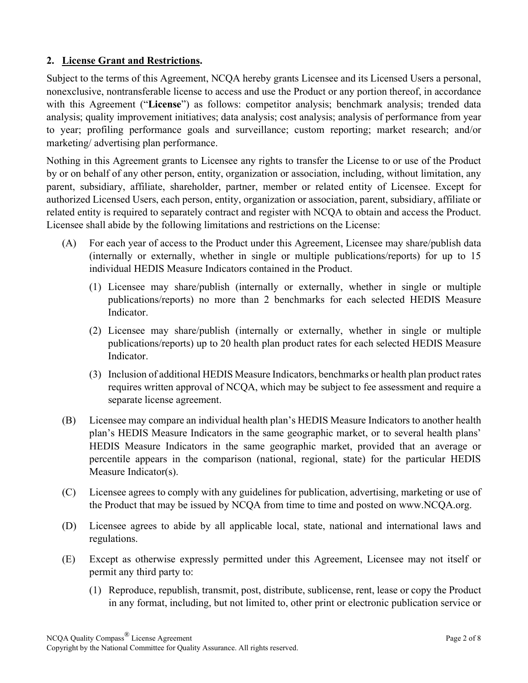### **2. License Grant and Restrictions.**

Subject to the terms of this Agreement, NCQA hereby grants Licensee and its Licensed Users a personal, nonexclusive, nontransferable license to access and use the Product or any portion thereof, in accordance with this Agreement ("**License**") as follows: competitor analysis; benchmark analysis; trended data analysis; quality improvement initiatives; data analysis; cost analysis; analysis of performance from year to year; profiling performance goals and surveillance; custom reporting; market research; and/or marketing/ advertising plan performance.

Nothing in this Agreement grants to Licensee any rights to transfer the License to or use of the Product by or on behalf of any other person, entity, organization or association, including, without limitation, any parent, subsidiary, affiliate, shareholder, partner, member or related entity of Licensee. Except for authorized Licensed Users, each person, entity, organization or association, parent, subsidiary, affiliate or related entity is required to separately contract and register with NCQA to obtain and access the Product. Licensee shall abide by the following limitations and restrictions on the License:

- (A) For each year of access to the Product under this Agreement, Licensee may share/publish data (internally or externally, whether in single or multiple publications/reports) for up to 15 individual HEDIS Measure Indicators contained in the Product.
	- (1) Licensee may share/publish (internally or externally, whether in single or multiple publications/reports) no more than 2 benchmarks for each selected HEDIS Measure Indicator.
	- (2) Licensee may share/publish (internally or externally, whether in single or multiple publications/reports) up to 20 health plan product rates for each selected HEDIS Measure Indicator.
	- (3) Inclusion of additional HEDIS Measure Indicators, benchmarks or health plan product rates requires written approval of NCQA, which may be subject to fee assessment and require a separate license agreement.
- (B) Licensee may compare an individual health plan's HEDIS Measure Indicators to another health plan's HEDIS Measure Indicators in the same geographic market, or to several health plans' HEDIS Measure Indicators in the same geographic market, provided that an average or percentile appears in the comparison (national, regional, state) for the particular HEDIS Measure Indicator(s).
- (C) Licensee agrees to comply with any guidelines for publication, advertising, marketing or use of the Product that may be issued by NCQA from time to time and posted on www.NCQA.org.
- (D) Licensee agrees to abide by all applicable local, state, national and international laws and regulations.
- (E) Except as otherwise expressly permitted under this Agreement, Licensee may not itself or permit any third party to:
	- (1) Reproduce, republish, transmit, post, distribute, sublicense, rent, lease or copy the Product in any format, including, but not limited to, other print or electronic publication service or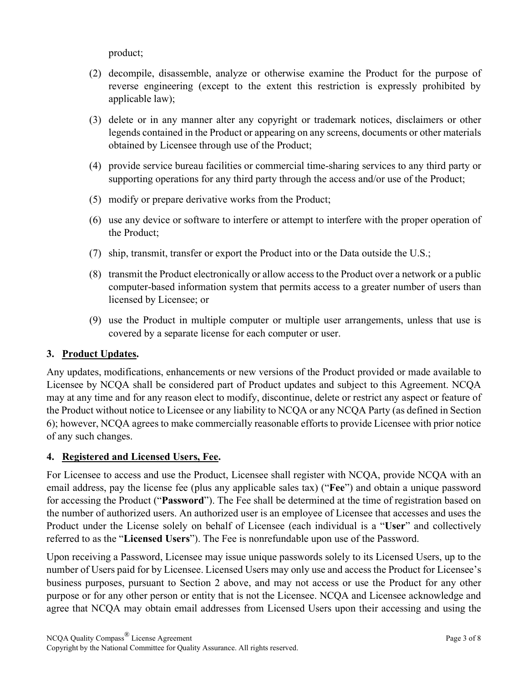product;

- (2) decompile, disassemble, analyze or otherwise examine the Product for the purpose of reverse engineering (except to the extent this restriction is expressly prohibited by applicable law);
- (3) delete or in any manner alter any copyright or trademark notices, disclaimers or other legends contained in the Product or appearing on any screens, documents or other materials obtained by Licensee through use of the Product;
- (4) provide service bureau facilities or commercial time-sharing services to any third party or supporting operations for any third party through the access and/or use of the Product;
- (5) modify or prepare derivative works from the Product;
- (6) use any device or software to interfere or attempt to interfere with the proper operation of the Product;
- (7) ship, transmit, transfer or export the Product into or the Data outside the U.S.;
- (8) transmit the Product electronically or allow access to the Product over a network or a public computer-based information system that permits access to a greater number of users than licensed by Licensee; or
- (9) use the Product in multiple computer or multiple user arrangements, unless that use is covered by a separate license for each computer or user.

## **3. Product Updates.**

Any updates, modifications, enhancements or new versions of the Product provided or made available to Licensee by NCQA shall be considered part of Product updates and subject to this Agreement. NCQA may at any time and for any reason elect to modify, discontinue, delete or restrict any aspect or feature of the Product without notice to Licensee or any liability to NCQA or any NCQA Party (as defined in Section 6); however, NCQA agrees to make commercially reasonable efforts to provide Licensee with prior notice of any such changes.

#### **4. Registered and Licensed Users, Fee.**

For Licensee to access and use the Product, Licensee shall register with NCQA, provide NCQA with an email address, pay the license fee (plus any applicable sales tax) ("**Fee**") and obtain a unique password for accessing the Product ("**Password**"). The Fee shall be determined at the time of registration based on the number of authorized users. An authorized user is an employee of Licensee that accesses and uses the Product under the License solely on behalf of Licensee (each individual is a "**User**" and collectively referred to as the "**Licensed Users**"). The Fee is nonrefundable upon use of the Password.

Upon receiving a Password, Licensee may issue unique passwords solely to its Licensed Users, up to the number of Users paid for by Licensee. Licensed Users may only use and access the Product for Licensee's business purposes, pursuant to Section 2 above, and may not access or use the Product for any other purpose or for any other person or entity that is not the Licensee. NCQA and Licensee acknowledge and agree that NCQA may obtain email addresses from Licensed Users upon their accessing and using the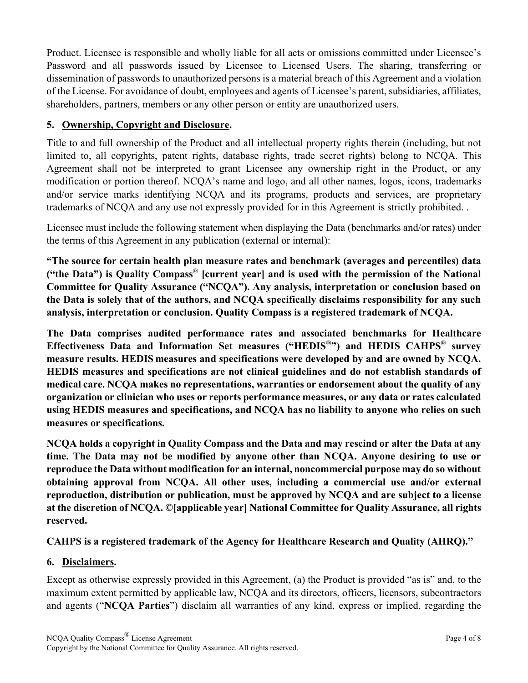Product. Licensee is responsible and wholly liable for all acts or omissions committed under Licensee's Password and all passwords issued by Licensee to Licensed Users. The sharing, transferring or dissemination of passwords to unauthorized persons is a material breach of this Agreement and a violation of the License. For avoidance of doubt, employees and agents of Licensee's parent, subsidiaries, affiliates, shareholders, partners, members or any other person or entity are unauthorized users.

### **5. Ownership, Copyright and Disclosure.**

Title to and full ownership of the Product and all intellectual property rights therein (including, but not limited to, all copyrights, patent rights, database rights, trade secret rights) belong to NCQA. This Agreement shall not be interpreted to grant Licensee any ownership right in the Product, or any modification or portion thereof. NCQA's name and logo, and all other names, logos, icons, trademarks and/or service marks identifying NCQA and its programs, products and services, are proprietary trademarks of NCQA and any use not expressly provided for in this Agreement is strictly prohibited. .

Licensee must include the following statement when displaying the Data (benchmarks and/or rates) under the terms of this Agreement in any publication (external or internal):

**"The source for certain health plan measure rates and benchmark (averages and percentiles) data ("the Data") is Quality Compass® [current year] and is used with the permission of the National Committee for Quality Assurance ("NCQA"). Any analysis, interpretation or conclusion based on the Data is solely that of the authors, and NCQA specifically disclaims responsibility for any such analysis, interpretation or conclusion. Quality Compass is a registered trademark of NCQA.** 

**The Data comprises audited performance rates and associated benchmarks for Healthcare Effectiveness Data and Information Set measures ("HEDIS®") and HEDIS CAHPS® survey measure results. HEDIS measures and specifications were developed by and are owned by NCQA. HEDIS measures and specifications are not clinical guidelines and do not establish standards of medical care. NCQA makes no representations, warranties or endorsement about the quality of any organization or clinician who uses or reports performance measures, or any data or rates calculated using HEDIS measures and specifications, and NCQA has no liability to anyone who relies on such measures or specifications.** 

**NCQA holds a copyright in Quality Compass and the Data and may rescind or alter the Data at any time. The Data may not be modified by anyone other than NCQA. Anyone desiring to use or reproduce the Data without modification for an internal, noncommercial purpose may do so without obtaining approval from NCQA. All other uses, including a commercial use and/or external reproduction, distribution or publication, must be approved by NCQA and are subject to a license at the discretion of NCQA. ©[applicable year] National Committee for Quality Assurance, all rights reserved.**

## **CAHPS is a registered trademark of the Agency for Healthcare Research and Quality (AHRQ)."**

#### **6. Disclaimers.**

Except as otherwise expressly provided in this Agreement, (a) the Product is provided "as is" and, to the maximum extent permitted by applicable law, NCQA and its directors, officers, licensors, subcontractors and agents ("**NCQA Parties**") disclaim all warranties of any kind, express or implied, regarding the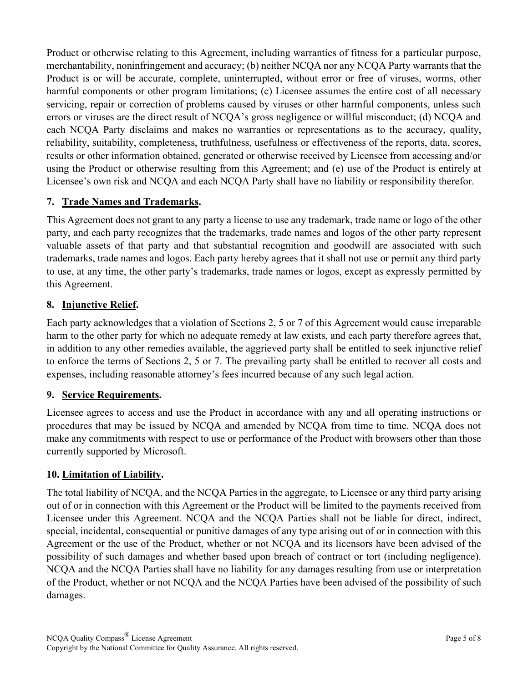Product or otherwise relating to this Agreement, including warranties of fitness for a particular purpose, merchantability, noninfringement and accuracy; (b) neither NCQA nor any NCQA Party warrants that the Product is or will be accurate, complete, uninterrupted, without error or free of viruses, worms, other harmful components or other program limitations; (c) Licensee assumes the entire cost of all necessary servicing, repair or correction of problems caused by viruses or other harmful components, unless such errors or viruses are the direct result of NCQA's gross negligence or willful misconduct; (d) NCQA and each NCQA Party disclaims and makes no warranties or representations as to the accuracy, quality, reliability, suitability, completeness, truthfulness, usefulness or effectiveness of the reports, data, scores, results or other information obtained, generated or otherwise received by Licensee from accessing and/or using the Product or otherwise resulting from this Agreement; and (e) use of the Product is entirely at Licensee's own risk and NCQA and each NCQA Party shall have no liability or responsibility therefor.

## **7. Trade Names and Trademarks.**

This Agreement does not grant to any party a license to use any trademark, trade name or logo of the other party, and each party recognizes that the trademarks, trade names and logos of the other party represent valuable assets of that party and that substantial recognition and goodwill are associated with such trademarks, trade names and logos. Each party hereby agrees that it shall not use or permit any third party to use, at any time, the other party's trademarks, trade names or logos, except as expressly permitted by this Agreement.

#### **8. Injunctive Relief.**

Each party acknowledges that a violation of Sections 2, 5 or 7 of this Agreement would cause irreparable harm to the other party for which no adequate remedy at law exists, and each party therefore agrees that, in addition to any other remedies available, the aggrieved party shall be entitled to seek injunctive relief to enforce the terms of Sections 2, 5 or 7. The prevailing party shall be entitled to recover all costs and expenses, including reasonable attorney's fees incurred because of any such legal action.

#### **9. Service Requirements.**

Licensee agrees to access and use the Product in accordance with any and all operating instructions or procedures that may be issued by NCQA and amended by NCQA from time to time. NCQA does not make any commitments with respect to use or performance of the Product with browsers other than those currently supported by Microsoft.

#### **10. Limitation of Liability.**

The total liability of NCQA, and the NCQA Parties in the aggregate, to Licensee or any third party arising out of or in connection with this Agreement or the Product will be limited to the payments received from Licensee under this Agreement. NCQA and the NCQA Parties shall not be liable for direct, indirect, special, incidental, consequential or punitive damages of any type arising out of or in connection with this Agreement or the use of the Product, whether or not NCQA and its licensors have been advised of the possibility of such damages and whether based upon breach of contract or tort (including negligence). NCQA and the NCQA Parties shall have no liability for any damages resulting from use or interpretation of the Product, whether or not NCQA and the NCQA Parties have been advised of the possibility of such damages.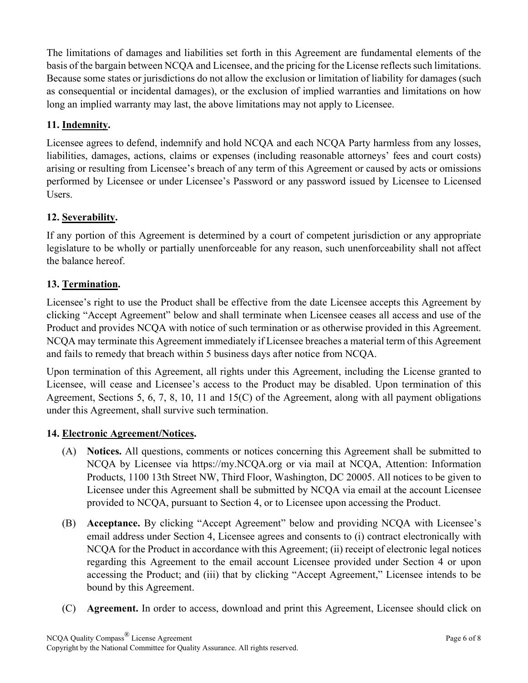The limitations of damages and liabilities set forth in this Agreement are fundamental elements of the basis of the bargain between NCQA and Licensee, and the pricing for the License reflects such limitations. Because some states or jurisdictions do not allow the exclusion or limitation of liability for damages (such as consequential or incidental damages), or the exclusion of implied warranties and limitations on how long an implied warranty may last, the above limitations may not apply to Licensee.

## **11. Indemnity.**

Licensee agrees to defend, indemnify and hold NCQA and each NCQA Party harmless from any losses, liabilities, damages, actions, claims or expenses (including reasonable attorneys' fees and court costs) arising or resulting from Licensee's breach of any term of this Agreement or caused by acts or omissions performed by Licensee or under Licensee's Password or any password issued by Licensee to Licensed Users.

## **12. Severability.**

If any portion of this Agreement is determined by a court of competent jurisdiction or any appropriate legislature to be wholly or partially unenforceable for any reason, such unenforceability shall not affect the balance hereof.

## **13. Termination.**

Licensee's right to use the Product shall be effective from the date Licensee accepts this Agreement by clicking "Accept Agreement" below and shall terminate when Licensee ceases all access and use of the Product and provides NCQA with notice of such termination or as otherwise provided in this Agreement. NCQA may terminate this Agreement immediately if Licensee breaches a material term of this Agreement and fails to remedy that breach within 5 business days after notice from NCQA.

Upon termination of this Agreement, all rights under this Agreement, including the License granted to Licensee, will cease and Licensee's access to the Product may be disabled. Upon termination of this Agreement, Sections 5, 6, 7, 8, 10, 11 and 15(C) of the Agreement, along with all payment obligations under this Agreement, shall survive such termination.

#### **14. Electronic Agreement/Notices.**

- (A) **Notices.** All questions, comments or notices concerning this Agreement shall be submitted to NCQA by Licensee via https://my.NCQA.org or via mail at NCQA, Attention: Information Products, 1100 13th Street NW, Third Floor, Washington, DC 20005. All notices to be given to Licensee under this Agreement shall be submitted by NCQA via email at the account Licensee provided to NCQA, pursuant to Section 4, or to Licensee upon accessing the Product.
- (B) **Acceptance.** By clicking "Accept Agreement" below and providing NCQA with Licensee's email address under Section 4, Licensee agrees and consents to (i) contract electronically with NCQA for the Product in accordance with this Agreement; (ii) receipt of electronic legal notices regarding this Agreement to the email account Licensee provided under Section 4 or upon accessing the Product; and (iii) that by clicking "Accept Agreement," Licensee intends to be bound by this Agreement.
- (C) **Agreement.** In order to access, download and print this Agreement, Licensee should click on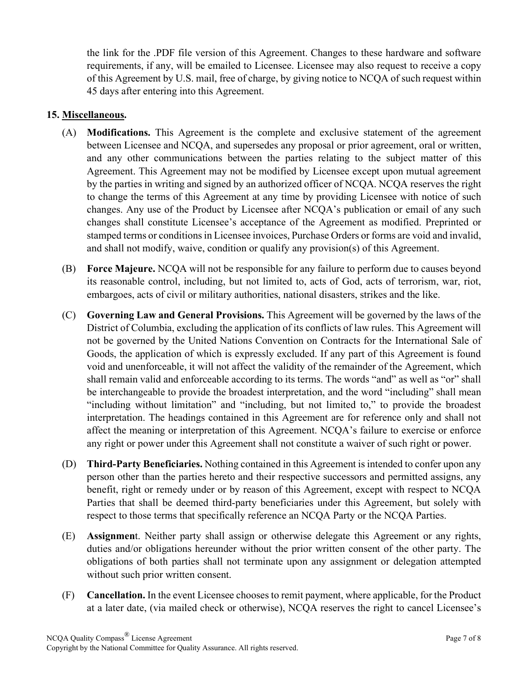the link for the .PDF file version of this Agreement. Changes to these hardware and software requirements, if any, will be emailed to Licensee. Licensee may also request to receive a copy of this Agreement by U.S. mail, free of charge, by giving notice to NCQA of such request within 45 days after entering into this Agreement.

#### **15. Miscellaneous.**

- (A) **Modifications.** This Agreement is the complete and exclusive statement of the agreement between Licensee and NCQA, and supersedes any proposal or prior agreement, oral or written, and any other communications between the parties relating to the subject matter of this Agreement. This Agreement may not be modified by Licensee except upon mutual agreement by the parties in writing and signed by an authorized officer of NCQA. NCQA reserves the right to change the terms of this Agreement at any time by providing Licensee with notice of such changes. Any use of the Product by Licensee after NCQA's publication or email of any such changes shall constitute Licensee's acceptance of the Agreement as modified. Preprinted or stamped terms or conditions in Licensee invoices, Purchase Orders or forms are void and invalid, and shall not modify, waive, condition or qualify any provision(s) of this Agreement.
- (B) **Force Majeure.** NCQA will not be responsible for any failure to perform due to causes beyond its reasonable control, including, but not limited to, acts of God, acts of terrorism, war, riot, embargoes, acts of civil or military authorities, national disasters, strikes and the like.
- (C) **Governing Law and General Provisions.** This Agreement will be governed by the laws of the District of Columbia, excluding the application of its conflicts of law rules. This Agreement will not be governed by the United Nations Convention on Contracts for the International Sale of Goods, the application of which is expressly excluded. If any part of this Agreement is found void and unenforceable, it will not affect the validity of the remainder of the Agreement, which shall remain valid and enforceable according to its terms. The words "and" as well as "or" shall be interchangeable to provide the broadest interpretation, and the word "including" shall mean "including without limitation" and "including, but not limited to," to provide the broadest interpretation. The headings contained in this Agreement are for reference only and shall not affect the meaning or interpretation of this Agreement. NCQA's failure to exercise or enforce any right or power under this Agreement shall not constitute a waiver of such right or power.
- (D) **Third-Party Beneficiaries.** Nothing contained in this Agreement is intended to confer upon any person other than the parties hereto and their respective successors and permitted assigns, any benefit, right or remedy under or by reason of this Agreement, except with respect to NCQA Parties that shall be deemed third-party beneficiaries under this Agreement, but solely with respect to those terms that specifically reference an NCQA Party or the NCQA Parties.
- (E) **Assignmen**t. Neither party shall assign or otherwise delegate this Agreement or any rights, duties and/or obligations hereunder without the prior written consent of the other party. The obligations of both parties shall not terminate upon any assignment or delegation attempted without such prior written consent.
- (F) **Cancellation.** In the event Licensee chooses to remit payment, where applicable, for the Product at a later date, (via mailed check or otherwise), NCQA reserves the right to cancel Licensee's